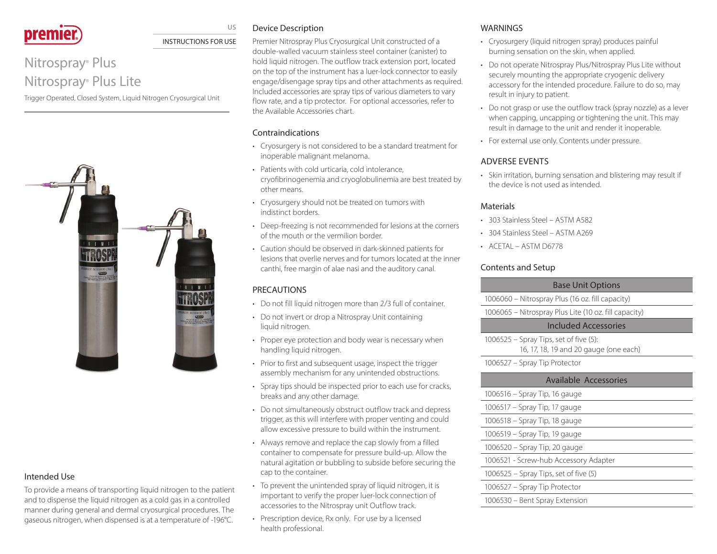

#### INSTRUCTIONS FOR USE

**US**

# Nitrospray® Plus Nitrospray® Plus Lite

Trigger Operated, Closed System, Liquid Nitrogen Cryosurgical Unit



#### Intended Use

To provide a means of transporting liquid nitrogen to the patient and to dispense the liquid nitrogen as a cold gas in a controlled manner during general and dermal cryosurgical procedures. The gaseous nitrogen, when dispensed is at a temperature of -196°C.

#### Device Description

Premier Nitrospray Plus Cryosurgical Unit constructed of a double-walled vacuum stainless steel container (canister) to hold liquid nitrogen. The outflow track extension port, located on the top of the instrument has a luer-lock connector to easily engage/disengage spray tips and other attachments as required. Included accessories are spray tips of various diameters to vary flow rate, and a tip protector. For optional accessories, refer to the Available Accessories chart.

#### Contraindications

- Cryosurgery is not considered to be a standard treatment for inoperable malignant melanoma.
- Patients with cold urticaria, cold intolerance, cryofibrinogenemia and cryoglobulinemia are best treated by other means.
- Cryosurgery should not be treated on tumors with indistinct borders.
- Deep-freezing is not recommended for lesions at the corners of the mouth or the vermilion border.
- Caution should be observed in dark-skinned patients for lesions that overlie nerves and for tumors located at the inner canthi, free margin of alae nasi and the auditory canal.

# PRECAUTIONS

- Do not fill liquid nitrogen more than 2/3 full of container.
- Do not invert or drop a Nitrospray Unit containing liquid nitrogen.
- Proper eye protection and body wear is necessary when handling liquid nitrogen.
- Prior to first and subsequent usage, inspect the trigger assembly mechanism for any unintended obstructions.
- Spray tips should be inspected prior to each use for cracks, breaks and any other damage.
- Do not simultaneously obstruct outflow track and depress trigger, as this will interfere with proper venting and could allow excessive pressure to build within the instrument.
- Always remove and replace the cap slowly from a filled container to compensate for pressure build-up. Allow the natural agitation or bubbling to subside before securing the cap to the container.
- To prevent the unintended spray of liquid nitrogen, it is important to verify the proper luer-lock connection of accessories to the Nitrospray unit Outflow track.
- Prescription device, Rx only. For use by a licensed health professional.

#### WARNINGS

- Cryosurgery (liquid nitrogen spray) produces painful burning sensation on the skin, when applied.
- Do not operate Nitrospray Plus/Nitrospray Plus Lite without securely mounting the appropriate cryogenic delivery accessory for the intended procedure. Failure to do so, may result in injury to patient.
- Do not grasp or use the outflow track (spray nozzle) as a lever when capping, uncapping or tightening the unit. This may result in damage to the unit and render it inoperable.
- For external use only. Contents under pressure.

# ADVERSE EVENTS

• Skin irritation, burning sensation and blistering may result if the device is not used as intended.

### Materials

Ī

- 303 Stainless Steel ASTM A582
- 304 Stainless Steel ASTM A269
- ACETAL ASTM D6778

# Contents and Setup

#### Base Unit Options

1006060 – Nitrospray Plus (16 oz. fill capacity)

1006065 – Nitrospray Plus Lite (10 oz. fill capacity)

#### Included Accessories

- 1006525 Spray Tips, set of five (5): 16, 17, 18, 19 and 20 gauge (one each)
- 1006527 Spray Tip Protector

| Available Accessories                   |
|-----------------------------------------|
| 1006516 - Spray Tip, 16 gauge           |
| 1006517 - Spray Tip, 17 gauge           |
| 1006518 - Spray Tip, 18 gauge           |
| 1006519 - Spray Tip, 19 gauge           |
| 1006520 - Spray Tip, 20 gauge           |
| 1006521 - Screw-hub Accessory Adapter   |
| $1006525 -$ Spray Tips, set of five (5) |
| 1006527 - Spray Tip Protector           |
| 1006530 - Bent Spray Extension          |